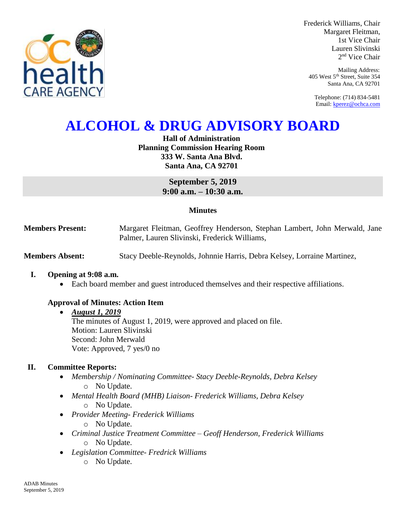

Frederick Williams, Chair Margaret Fleitman, 1st Vice Chair Lauren Slivinski 2 nd Vice Chair

Mailing Address: 405 West 5th Street, Suite 354 Santa Ana, CA 92701

Telephone: (714) 834-5481 Email[: kperez@ochca.com](mailto:kperez@ochca.com)

# **ALCOHOL & DRUG ADVISORY BOARD**

**Hall of Administration Planning Commission Hearing Room 333 W. Santa Ana Blvd. Santa Ana, CA 92701**

> **September 5, 2019 9:00 a.m. – 10:30 a.m.**

## **Minutes**

**Members Present:** Margaret Fleitman, Geoffrey Henderson, Stephan Lambert, John Merwald, Jane Palmer, Lauren Slivinski, Frederick Williams,

**Members Absent:** Stacy Deeble-Reynolds, Johnnie Harris, Debra Kelsey, Lorraine Martinez,

#### **I. Opening at 9:08 a.m.**

Each board member and guest introduced themselves and their respective affiliations.

## **Approval of Minutes: Action Item**

#### *August 1, 2019*

The minutes of August 1, 2019, were approved and placed on file. Motion: Lauren Slivinski Second: John Merwald Vote: Approved, 7 yes/0 no

## **II. Committee Reports:**

- *Membership / Nominating Committee- Stacy Deeble-Reynolds, Debra Kelsey*  o No Update.
- *Mental Health Board (MHB) Liaison- Frederick Williams, Debra Kelsey*  o No Update.
- *Provider Meeting- Frederick Williams* o No Update.
- *Criminal Justice Treatment Committee – Geoff Henderson, Frederick Williams* o No Update.
- *Legislation Committee- Fredrick Williams*
	- o No Update.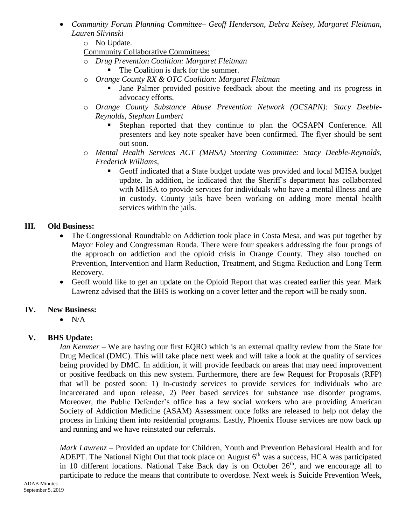- *Community Forum Planning Committee– Geoff Henderson, Debra Kelsey, Margaret Fleitman, Lauren Slivinski*
	- o No Update.
	- Community Collaborative Committees:
	- o *Drug Prevention Coalition: Margaret Fleitman*
		- The Coalition is dark for the summer.
	- o *Orange County RX & OTC Coalition: Margaret Fleitman*
		- Jane Palmer provided positive feedback about the meeting and its progress in advocacy efforts.
	- o *Orange County Substance Abuse Prevention Network (OCSAPN): Stacy Deeble-Reynolds, Stephan Lambert* 
		- Stephan reported that they continue to plan the OCSAPN Conference. All presenters and key note speaker have been confirmed. The flyer should be sent out soon.
	- o *Mental Health Services ACT (MHSA) Steering Committee: Stacy Deeble-Reynolds, Frederick Williams,* 
		- Geoff indicated that a State budget update was provided and local MHSA budget update. In addition, he indicated that the Sheriff's department has collaborated with MHSA to provide services for individuals who have a mental illness and are in custody. County jails have been working on adding more mental health services within the jails.

# **III. Old Business:**

- The Congressional Roundtable on Addiction took place in Costa Mesa, and was put together by Mayor Foley and Congressman Rouda. There were four speakers addressing the four prongs of the approach on addiction and the opioid crisis in Orange County. They also touched on Prevention, Intervention and Harm Reduction, Treatment, and Stigma Reduction and Long Term Recovery.
- Geoff would like to get an update on the Opioid Report that was created earlier this year. Mark Lawrenz advised that the BHS is working on a cover letter and the report will be ready soon.

## **IV. New Business:**

 $\bullet$  N/A

# **V. BHS Update:**

*Ian Kemmer –* We are having our first EQRO which is an external quality review from the State for Drug Medical (DMC). This will take place next week and will take a look at the quality of services being provided by DMC. In addition, it will provide feedback on areas that may need improvement or positive feedback on this new system. Furthermore, there are few Request for Proposals (RFP) that will be posted soon: 1) In-custody services to provide services for individuals who are incarcerated and upon release, 2) Peer based services for substance use disorder programs. Moreover, the Public Defender's office has a few social workers who are providing American Society of Addiction Medicine (ASAM) Assessment once folks are released to help not delay the process in linking them into residential programs. Lastly, Phoenix House services are now back up and running and we have reinstated our referrals.

*Mark Lawrenz –* Provided an update for Children, Youth and Prevention Behavioral Health and for ADEPT. The National Night Out that took place on August  $6<sup>th</sup>$  was a success, HCA was participated in 10 different locations. National Take Back day is on October 26<sup>th</sup>, and we encourage all to participate to reduce the means that contribute to overdose. Next week is Suicide Prevention Week,